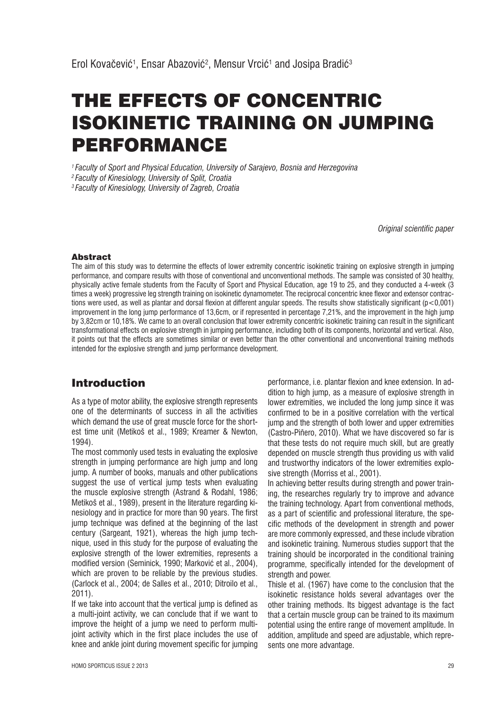# THE EFFECTS OF CONCENTRIC ISOKINETIC TRAINING ON JUMPING PERFORMANCE

*1 Faculty of Sport and Physical Education, University of Sarajevo, Bosnia and Herzegovina 2 Faculty of Kinesiology, University of Split, Croatia*

*3 Faculty of Kinesiology, University of Zagreb, Croatia*

*Original scientific paper*

#### Abstract

The aim of this study was to determine the effects of lower extremity concentric isokinetic training on explosive strength in jumping performance, and compare results with those of conventional and unconventional methods. The sample was consisted of 30 healthy, physically active female students from the Faculty of Sport and Physical Education, age 19 to 25, and they conducted a 4-week (3 times a week) progressive leg strength training on isokinetic dynamometer. The reciprocal concentric knee flexor and extensor contractions were used, as well as plantar and dorsal flexion at different angular speeds. The results show statistically significant (p<0,001) improvement in the long jump performance of 13,6cm, or if represented in percentage 7,21%, and the improvement in the high jump by 3,82cm or 10,18%. We came to an overall conclusion that lower extremity concentric isokinetic training can result in the significant transformational effects on explosive strength in jumping performance, including both of its components, horizontal and vertical. Also, it points out that the effects are sometimes similar or even better than the other conventional and unconventional training methods intended for the explosive strength and jump performance development.

## Introduction

As a type of motor ability, the explosive strength represents one of the determinants of success in all the activities which demand the use of great muscle force for the shortest time unit (Metikoš et al., 1989; Kreamer & Newton, 1994).

The most commonly used tests in evaluating the explosive strength in jumping performance are high jump and long jump. A number of books, manuals and other publications suggest the use of vertical jump tests when evaluating the muscle explosive strength (Astrand & Rodahl, 1986; Metikoš et al., 1989), present in the literature regarding kinesiology and in practice for more than 90 years. The first jump technique was defined at the beginning of the last century (Sargeant, 1921), whereas the high jump technique, used in this study for the purpose of evaluating the explosive strength of the lower extremities, represents a modified version (Seminick, 1990; Marković et al., 2004), which are proven to be reliable by the previous studies. (Carlock et al., 2004; de Salles et al., 2010; Ditroilo et al., 2011).

If we take into account that the vertical jump is defined as a multi-joint activity, we can conclude that if we want to improve the height of a jump we need to perform multijoint activity which in the first place includes the use of knee and ankle joint during movement specific for jumping performance, i.e. plantar flexion and knee extension. In addition to high jump, as a measure of explosive strength in lower extremities, we included the long jump since it was confirmed to be in a positive correlation with the vertical jump and the strength of both lower and upper extremities (Castro-Piñero, 2010). What we have discovered so far is that these tests do not require much skill, but are greatly depended on muscle strength thus providing us with valid and trustworthy indicators of the lower extremities explosive strength (Morriss et al., 2001).

In achieving better results during strength and power training, the researches regularly try to improve and advance the training technology. Apart from conventional methods, as a part of scientific and professional literature, the specific methods of the development in strength and power are more commonly expressed, and these include vibration and isokinetic training. Numerous studies support that the training should be incorporated in the conditional training programme, specifically intended for the development of strength and power.

Thisle et al. (1967) have come to the conclusion that the isokinetic resistance holds several advantages over the other training methods. Its biggest advantage is the fact that a certain muscle group can be trained to its maximum potential using the entire range of movement amplitude. In addition, amplitude and speed are adjustable, which represents one more advantage.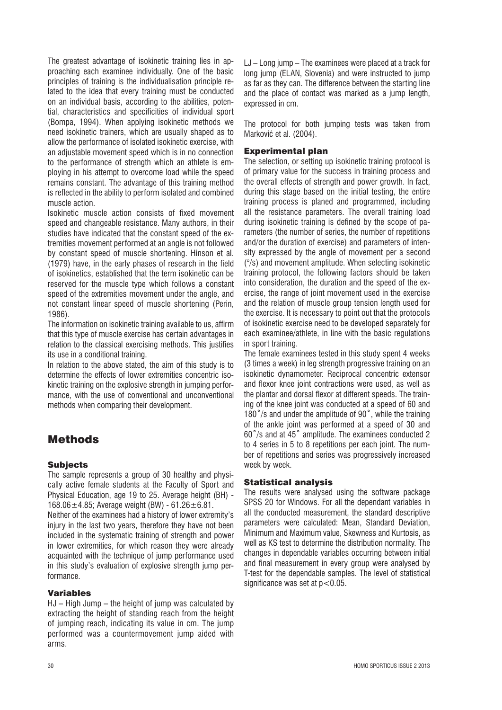The greatest advantage of isokinetic training lies in approaching each examinee individually. One of the basic principles of training is the individualisation principle related to the idea that every training must be conducted on an individual basis, according to the abilities, potential, characteristics and specificities of individual sport (Bompa, 1994). When applying isokinetic methods we need isokinetic trainers, which are usually shaped as to allow the performance of isolated isokinetic exercise, with an adjustable movement speed which is in no connection to the performance of strength which an athlete is employing in his attempt to overcome load while the speed remains constant. The advantage of this training method is reflected in the ability to perform isolated and combined muscle action.

Isokinetic muscle action consists of fixed movement speed and changeable resistance. Many authors, in their studies have indicated that the constant speed of the extremities movement performed at an angle is not followed by constant speed of muscle shortening. Hinson et al. (1979) have, in the early phases of research in the field of isokinetics, established that the term isokinetic can be reserved for the muscle type which follows a constant speed of the extremities movement under the angle, and not constant linear speed of muscle shortening (Perin, 1986).

The information on isokinetic training available to us, affirm that this type of muscle exercise has certain advantages in relation to the classical exercising methods. This justifies its use in a conditional training.

In relation to the above stated, the aim of this study is to determine the effects of lower extremities concentric isokinetic training on the explosive strength in jumping performance, with the use of conventional and unconventional methods when comparing their development.

## Methods

## Subjects

The sample represents a group of 30 healthy and physically active female students at the Faculty of Sport and Physical Education, age 19 to 25. Average height (BH) - 168.06 $\pm$ 4.85; Average weight (BW) - 61.26 $\pm$ 6.81.

Neither of the examinees had a history of lower extremity's injury in the last two years, therefore they have not been included in the systematic training of strength and power in lower extremities, for which reason they were already acquainted with the technique of jump performance used in this study's evaluation of explosive strength jump performance.

## Variables

HJ – High Jump – the height of jump was calculated by extracting the height of standing reach from the height of jumping reach, indicating its value in cm. The jump performed was a countermovement jump aided with arms.

LJ – Long jump – The examinees were placed at a track for long jump (ELAN, Slovenia) and were instructed to jump as far as they can. The difference between the starting line and the place of contact was marked as a jump length, expressed in cm.

The protocol for both jumping tests was taken from Marković et al. (2004).

#### Experimental plan

The selection, or setting up isokinetic training protocol is of primary value for the success in training process and the overall effects of strength and power growth. In fact, during this stage based on the initial testing, the entire training process is planed and programmed, including all the resistance parameters. The overall training load during isokinetic training is defined by the scope of parameters (the number of series, the number of repetitions and/or the duration of exercise) and parameters of intensity expressed by the angle of movement per a second (°/s) and movement amplitude. When selecting isokinetic training protocol, the following factors should be taken into consideration, the duration and the speed of the exercise, the range of joint movement used in the exercise and the relation of muscle group tension length used for the exercise. It is necessary to point out that the protocols of isokinetic exercise need to be developed separately for each examinee/athlete, in line with the basic regulations in sport training.

The female examinees tested in this study spent 4 weeks (3 times a week) in leg strength progressive training on an isokinetic dynamometer. Reciprocal concentric extensor and flexor knee joint contractions were used, as well as the plantar and dorsal flexor at different speeds. The training of the knee joint was conducted at a speed of 60 and 180°/s and under the amplitude of 90°, while the training of the ankle joint was performed at a speed of 30 and 60°/s and at 45° amplitude. The examinees conducted 2 to 4 series in 5 to 8 repetitions per each joint. The number of repetitions and series was progressively increased week by week.

## Statistical analysis

The results were analysed using the software package SPSS 20 for Windows. For all the dependant variables in all the conducted measurement, the standard descriptive parameters were calculated: Mean, Standard Deviation, Minimum and Maximum value, Skewness and Kurtosis, as well as KS test to determine the distribution normality. The changes in dependable variables occurring between initial and final measurement in every group were analysed by T-test for the dependable samples. The level of statistical significance was set at  $p < 0.05$ .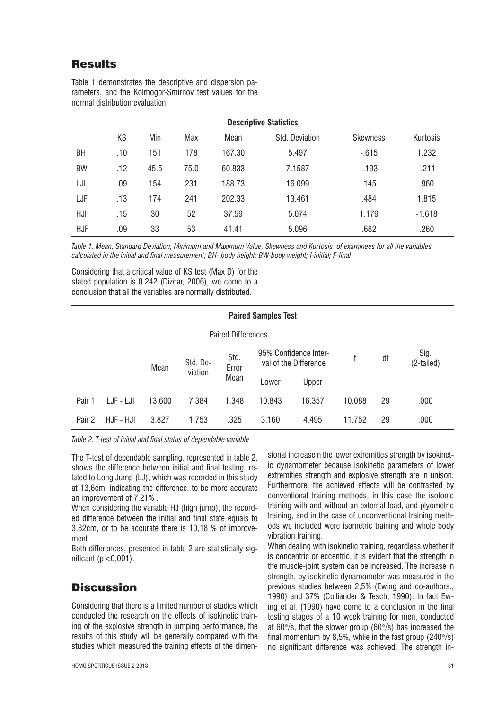## **Results**

| <b>Descriptive Statistics</b> |     |      |      |        |                |                 |          |  |  |  |  |  |
|-------------------------------|-----|------|------|--------|----------------|-----------------|----------|--|--|--|--|--|
|                               | KS  | Min  | Max  | Mean   | Std. Deviation | <b>Skewness</b> | Kurtosis |  |  |  |  |  |
| BН                            | .10 | 151  | 178  | 167.30 | 5.497          | $-0.615$        | 1.232    |  |  |  |  |  |
| <b>BW</b>                     | .12 | 45.5 | 75.0 | 60.833 | 7.1587         | $-193$          | $-.211$  |  |  |  |  |  |
| LJI                           | .09 | 154  | 231  | 188.73 | 16.099         | .145            | .960     |  |  |  |  |  |
| LJF                           | .13 | 174  | 241  | 202.33 | 13.461         | .484            | 1.815    |  |  |  |  |  |
| HJI                           | .15 | 30   | 52   | 37.59  | 5.074          | 1.179           | $-1.618$ |  |  |  |  |  |
| <b>HJF</b>                    | .09 | 33   | 53   | 41.41  | 5.096          | .682            | .260     |  |  |  |  |  |

Table 1 demonstrates the descriptive and dispersion parameters, and the Kolmogor-Smirnov test values for the normal distribution evaluation.

*Table 1. Mean, Standard Deviation, Minimum and Maximum Value, Skewness and Kurtosis of examinees for all the variables calculated in the initial and final measurement; BH- body height; BW-body weight; I-initial; F-final* 

Considering that a critical value of KS test (Max D) for the stated population is 0.242 (Dizdar, 2006), we come to a conclusion that all the variables are normally distributed.

#### **Paired Samples Test**

|        |           | Mean   | Std. De-<br>viation | Std.<br>Error<br>Mean | 95% Confidence Inter-<br>val of the Difference |        |        | df | Sig.<br>(2-tailed) |
|--------|-----------|--------|---------------------|-----------------------|------------------------------------------------|--------|--------|----|--------------------|
|        |           |        |                     |                       | Lower                                          | Upper  |        |    |                    |
| Pair 1 | LJF - LJI | 13.600 | 7.384               | 1.348                 | 10.843                                         | 16.357 | 10.088 | 29 | .000               |
| Pair 2 | HJF - HJI | 3.827  | 1.753               | .325                  | 3.160                                          | 4.495  | 11.752 | 29 | .000               |

*Table 2. T-test of initial and final status of dependable variable* 

The T-test of dependable sampling, represented in table 2, shows the difference between initial and final testing, related to Long Jump (LJ), which was recorded in this study at 13,6cm, indicating the difference, to be more accurate an improvement of 7,21% .

When considering the variable HJ (high jump), the recorded difference between the initial and final state equals to 3,82cm, or to be accurate there is 10,18 % of improvement.

Both differences, presented in table 2 are statistically significant  $(p<0.001)$ .

## **Discussion**

Considering that there is a limited number of studies which conducted the research on the effects of isokinetic training of the explosive strength in jumping performance, the results of this study will be generally compared with the studies which measured the training effects of the dimensional increase n the lower extremities strength by isokinetic dynamometer because isokinetic parameters of lower extremities strength and explosive strength are in unison. Furthermore, the achieved effects will be contrasted by conventional training methods, in this case the isotonic training with and without an external load, and plyometric training, and in the case of unconventional training methods we included were isometric training and whole body vibration training.

When dealing with isokinetic training, regardless whether it is concentric or eccentric, it is evident that the strength in the muscle-joint system can be increased. The increase in strength, by isokinetic dynamometer was measured in the previous studies between 2,5% (Ewing and co-authors., 1990) and 37% (Colliander & Tesch, 1990). In fact Ewing et al. (1990) have come to a conclusion in the final testing stages of a 10 week training for men, conducted at  $60^{\circ}/s$ , that the slower group ( $60^{\circ}/s$ ) has increased the final momentum by 8,5%, while in the fast group (240 $\degree$ /s) no significant difference was achieved. The strength in-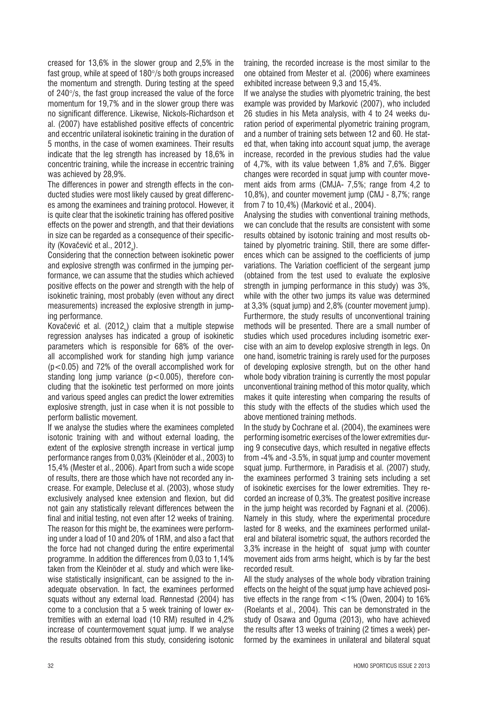creased for 13,6% in the slower group and 2,5% in the fast group, while at speed of  $180^{\circ}/s$  both groups increased the momentum and strength. During testing at the speed of  $240\%$ , the fast group increased the value of the force momentum for 19,7% and in the slower group there was no significant difference. Likewise, Nickols-Richardson et al. (2007) have established positive effects of concentric and eccentric unilateral isokinetic training in the duration of 5 months, in the case of women examinees. Their results indicate that the leg strength has increased by 18,6% in concentric training, while the increase in eccentric training was achieved by 28,9%.

The differences in power and strength effects in the conducted studies were most likely caused by great differences among the examinees and training protocol. However, it is quite clear that the isokinetic training has offered positive effects on the power and strength, and that their deviations in size can be regarded as a consequence of their specificity (Kovačević et al., 2012<sub>a</sub>).

Considering that the connection between isokinetic power and explosive strength was confirmed in the jumping performance, we can assume that the studies which achieved positive effects on the power and strength with the help of isokinetic training, most probably (even without any direct measurements) increased the explosive strength in jumping performance.

Kovačević et al. (2012 $_{\rm b}$ ) claim that a multiple stepwise regression analyses has indicated a group of isokinetic parameters which is responsible for 68% of the overall accomplished work for standing high jump variance (p<0.05) and 72% of the overall accomplished work for standing long jump variance  $(p < 0.005)$ , therefore concluding that the isokinetic test performed on more joints and various speed angles can predict the lower extremities explosive strength, just in case when it is not possible to perform ballistic movement.

If we analyse the studies where the examinees completed isotonic training with and without external loading, the extent of the explosive strength increase in vertical jump performance ranges from 0,03% (Kleinöder et al., 2003) to 15,4% (Mester et al., 2006). Apart from such a wide scope of results, there are those which have not recorded any increase. For example, Delecluse et al. (2003), whose study exclusively analysed knee extension and flexion, but did not gain any statistically relevant differences between the final and initial testing, not even after 12 weeks of training. The reason for this might be, the examinees were performing under a load of 10 and 20% of 1RM, and also a fact that the force had not changed during the entire experimental programme. In addition the differences from 0,03 to 1,14% taken from the Kleinöder et al. study and which were likewise statistically insignificant, can be assigned to the inadequate observation. In fact, the examinees performed squats without any external load. Rønnestad (2004) has come to a conclusion that a 5 week training of lower extremities with an external load (10 RM) resulted in 4,2% increase of countermovement squat jump. If we analyse the results obtained from this study, considering isotonic training, the recorded increase is the most similar to the one obtained from Mester et al. (2006) where examinees exhibited increase between 9,3 and 15,4%.

If we analyse the studies with plyometric training, the best example was provided by Marković (2007), who included 26 studies in his Meta analysis, with 4 to 24 weeks duration period of experimental plyometric training program, and a number of training sets between 12 and 60. He stated that, when taking into account squat jump, the average increase, recorded in the previous studies had the value of 4,7%, with its value between 1,8% and 7,6%. Bigger changes were recorded in squat jump with counter movement aids from arms (CMJA- 7,5%; range from 4,2 to 10,8%), and counter movement jump (CMJ - 8,7%; range from 7 to 10,4%) (Marković et al., 2004).

Analysing the studies with conventional training methods, we can conclude that the results are consistent with some results obtained by isotonic training and most results obtained by plyometric training. Still, there are some differences which can be assigned to the coefficients of jump variations. The Variation coefficient of the sergeant jump (obtained from the test used to evaluate the explosive strength in jumping performance in this study) was 3%, while with the other two jumps its value was determined at 3,3% (squat jump) and 2,8% (counter movement jump). Furthermore, the study results of unconventional training methods will be presented. There are a small number of studies which used procedures including isometric exercise with an aim to develop explosive strength in legs. On one hand, isometric training is rarely used for the purposes of developing explosive strength, but on the other hand whole body vibration training is currently the most popular unconventional training method of this motor quality, which makes it quite interesting when comparing the results of this study with the effects of the studies which used the above mentioned training methods.

In the study by Cochrane et al. (2004), the examinees were performing isometric exercises of the lower extremities during 9 consecutive days, which resulted in negative effects from -4% and -3.5%, in squat jump and counter movement squat jump. Furthermore, in Paradisis et al. (2007) study, the examinees performed 3 training sets including a set of isokinetic exercises for the lower extremities. They recorded an increase of 0,3%. The greatest positive increase in the jump height was recorded by Fagnani et al. (2006). Namely in this study, where the experimental procedure lasted for 8 weeks, and the examinees performed unilateral and bilateral isometric squat, the authors recorded the 3,3% increase in the height of squat jump with counter movement aids from arms height, which is by far the best recorded result.

All the study analyses of the whole body vibration training effects on the height of the squat jump have achieved positive effects in the range from  $<$  1% (Owen, 2004) to 16% (Roelants et al., 2004). This can be demonstrated in the study of Osawa and Oguma (2013), who have achieved the results after 13 weeks of training (2 times a week) performed by the examinees in unilateral and bilateral squat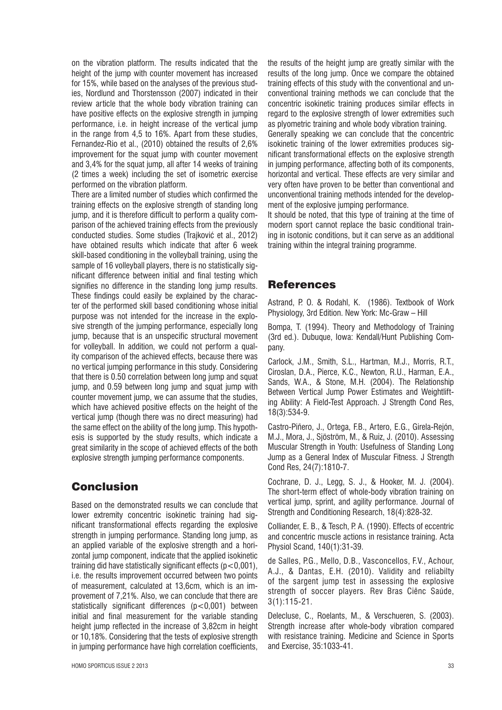on the vibration platform. The results indicated that the height of the jump with counter movement has increased for 15%, while based on the analyses of the previous studies, Nordlund and Thorstensson (2007) indicated in their review article that the whole body vibration training can have positive effects on the explosive strength in jumping performance, i.e. in height increase of the vertical jump in the range from 4,5 to 16%. Apart from these studies, Fernandez-Rio et al., (2010) obtained the results of 2,6% improvement for the squat jump with counter movement and 3,4% for the squat jump, all after 14 weeks of training (2 times a week) including the set of isometric exercise performed on the vibration platform.

There are a limited number of studies which confirmed the training effects on the explosive strength of standing long jump, and it is therefore difficult to perform a quality comparison of the achieved training effects from the previously conducted studies. Some studies (Trajković et al., 2012) have obtained results which indicate that after 6 week skill-based conditioning in the volleyball training, using the sample of 16 volleyball players, there is no statistically significant difference between initial and final testing which signifies no difference in the standing long jump results. These findings could easily be explained by the character of the performed skill based conditioning whose initial purpose was not intended for the increase in the explosive strength of the jumping performance, especially long jump, because that is an unspecific structural movement for volleyball. In addition, we could not perform a quality comparison of the achieved effects, because there was no vertical jumping performance in this study. Considering that there is 0.50 correlation between long jump and squat jump, and 0.59 between long jump and squat jump with counter movement jump, we can assume that the studies, which have achieved positive effects on the height of the vertical jump (though there was no direct measuring) had the same effect on the ability of the long jump. This hypothesis is supported by the study results, which indicate a great similarity in the scope of achieved effects of the both explosive strength jumping performance components.

# Conclusion

Based on the demonstrated results we can conclude that lower extremity concentric isokinetic training had significant transformational effects regarding the explosive strength in jumping performance. Standing long jump, as an applied variable of the explosive strength and a horizontal jump component, indicate that the applied isokinetic training did have statistically significant effects  $(p < 0.001)$ . i.e. the results improvement occurred between two points of measurement, calculated at 13,6cm, which is an improvement of 7,21%. Also, we can conclude that there are statistically significant differences (p<0,001) between initial and final measurement for the variable standing height jump reflected in the increase of 3,82cm in height or 10,18%. Considering that the tests of explosive strength in jumping performance have high correlation coefficients, the results of the height jump are greatly similar with the results of the long jump. Once we compare the obtained training effects of this study with the conventional and unconventional training methods we can conclude that the concentric isokinetic training produces similar effects in regard to the explosive strength of lower extremities such as plyometric training and whole body vibration training. Generally speaking we can conclude that the concentric isokinetic training of the lower extremities produces significant transformational effects on the explosive strength in jumping performance, affecting both of its components, horizontal and vertical. These effects are very similar and very often have proven to be better than conventional and unconventional training methods intended for the develop-

ment of the explosive jumping performance. It should be noted, that this type of training at the time of modern sport cannot replace the basic conditional training in isotonic conditions, but it can serve as an additional training within the integral training programme.

# References

Astrand, P. O. & Rodahl, K. (1986). Textbook of Work Physiology, 3rd Edition. New York: Mc-Graw – Hill

Bompa, T. (1994). Theory and Methodology of Training (3rd ed.). Dubuque, Iowa: Kendall/Hunt Publishing Company.

Carlock, J.M., Smith, S.L., Hartman, M.J., Morris, R.T., Ciroslan, D.A., Pierce, K.C., Newton, R.U., Harman, E.A., Sands, W.A., & Stone, M.H. (2004). The Relationship Between Vertical Jump Power Estimates and Weightlifting Ability: A Field-Test Approach. J Strength Cond Res, 18(3):534-9.

Castro-Piñero, J., Ortega, F.B., Artero, E.G., Girela-Rejón, M.J., Mora, J., Sjöström, M., & Ruiz, J. (2010). Assessing Muscular Strength in Youth: Usefulness of Standing Long Jump as a General Index of Muscular Fitness. J Strength Cond Res, 24(7):1810-7.

Cochrane, D. J., Legg, S. J., & Hooker, M. J. (2004). The short-term effect of whole-body vibration training on vertical jump, sprint, and agility performance. Journal of Strength and Conditioning Research, 18(4):828-32.

Colliander, E. B., & Tesch, P. A. (1990). Effects of eccentric and concentric muscle actions in resistance training. Acta Physiol Scand, 140(1):31-39.

de Salles, P.G., Mello, D.B., Vasconcellos, F.V., Achour, A.J., & Dantas, E.H. (2010). Validity and reliabilty of the sargent jump test in assessing the explosive strength of soccer players. Rev Bras Ciênc Saúde, 3(1):115-21.

Delecluse, C., Roelants, M., & Verschueren, S. (2003). Strength increase after whole-body vibration compared with resistance training. Medicine and Science in Sports and Exercise, 35:1033-41.